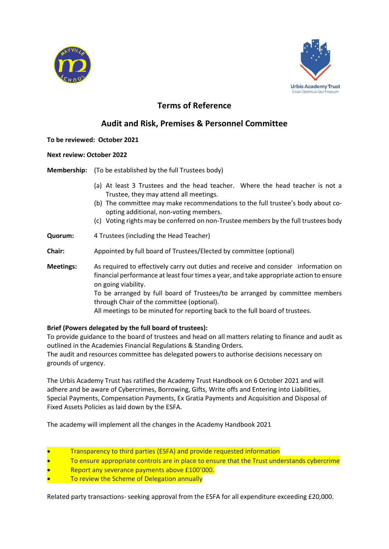



# **Terms of Reference**

## **Audit and Risk, Premises & Personnel Committee**

## **To be reviewed: October 2021**

## **Next review: October 2022**

**Membership:** (To be established by the full Trustees body)

- (a) At least 3 Trustees and the head teacher. Where the head teacher is not a Trustee, they may attend all meetings.
- (b) The committee may make recommendations to the full trustee's body about coopting additional, non-voting members.
- (c) Voting rights may be conferred on non-Trustee members by the full trustees body
- **Quorum:** 4 Trustees (including the Head Teacher)
- **Chair:** Appointed by full board of Trustees/Elected by committee (optional)
- **Meetings:** As required to effectively carry out duties and receive and consider information on financial performance at least four times a year, and take appropriate action to ensure on going viability. To be arranged by full board of Trustees/to be arranged by committee members through Chair of the committee (optional). All meetings to be minuted for reporting back to the full board of trustees.

## **Brief (Powers delegated by the full board of trustees):**

To provide guidance to the board of trustees and head on all matters relating to finance and audit as outlined in the Academies Financial Regulations & Standing Orders.

The audit and resources committee has delegated powers to authorise decisions necessary on grounds of urgency.

The Urbis Academy Trust has ratified the Academy Trust Handbook on 6 October 2021 and will adhere and be aware of Cybercrimes, Borrowing, Gifts, Write offs and Entering into Liabilities, Special Payments, Compensation Payments, Ex Gratia Payments and Acquisition and Disposal of Fixed Assets Policies as laid down by the ESFA.

The academy will implement all the changes in the Academy Handbook 2021

- Transparency to third parties (ESFA) and provide requested information
- To ensure appropriate controls are in place to ensure that the Trust understands cybercrime
- Report any severance payments above £100'000.
- To review the Scheme of Delegation annually

Related party transactions- seeking approval from the ESFA for all expenditure exceeding £20,000.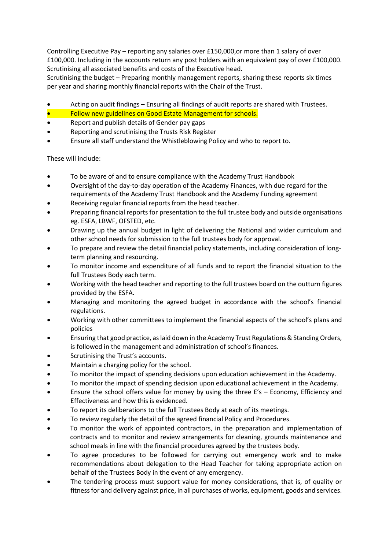Controlling Executive Pay – reporting any salaries over £150,000,or more than 1 salary of over £100,000. Including in the accounts return any post holders with an equivalent pay of over £100,000. Scrutinising all associated benefits and costs of the Executive head.

Scrutinising the budget – Preparing monthly management reports, sharing these reports six times per year and sharing monthly financial reports with the Chair of the Trust.

- Acting on audit findings Ensuring all findings of audit reports are shared with Trustees.
- Follow new guidelines on Good Estate Management for schools.
- Report and publish details of Gender pay gaps
- Reporting and scrutinising the Trusts Risk Register
- Ensure all staff understand the Whistleblowing Policy and who to report to.

These will include:

- To be aware of and to ensure compliance with the Academy Trust Handbook
- Oversight of the day-to-day operation of the Academy Finances, with due regard for the requirements of the Academy Trust Handbook and the Academy Funding agreement
- Receiving regular financial reports from the head teacher.
- Preparing financial reports for presentation to the full trustee body and outside organisations eg. ESFA, LBWF, OFSTED, etc.
- Drawing up the annual budget in light of delivering the National and wider curriculum and other school needs for submission to the full trustees body for approval.
- To prepare and review the detail financial policy statements, including consideration of longterm planning and resourcing.
- To monitor income and expenditure of all funds and to report the financial situation to the full Trustees Body each term.
- Working with the head teacher and reporting to the full trustees board on the outturn figures provided by the ESFA.
- Managing and monitoring the agreed budget in accordance with the school's financial regulations.
- Working with other committees to implement the financial aspects of the school's plans and policies
- Ensuring that good practice, as laid down in the Academy Trust Regulations & Standing Orders, is followed in the management and administration of school's finances.
- Scrutinising the Trust's accounts.
- Maintain a charging policy for the school.
- To monitor the impact of spending decisions upon education achievement in the Academy.
- To monitor the impact of spending decision upon educational achievement in the Academy.
- Ensure the school offers value for money by using the three E's Economy, Efficiency and Effectiveness and how this is evidenced.
- To report its deliberations to the full Trustees Body at each of its meetings.
- To review regularly the detail of the agreed financial Policy and Procedures.
- To monitor the work of appointed contractors, in the preparation and implementation of contracts and to monitor and review arrangements for cleaning, grounds maintenance and school meals in line with the financial procedures agreed by the trustees body.
- To agree procedures to be followed for carrying out emergency work and to make recommendations about delegation to the Head Teacher for taking appropriate action on behalf of the Trustees Body in the event of any emergency.
- The tendering process must support value for money considerations, that is, of quality or fitness for and delivery against price, in all purchases of works, equipment, goods and services.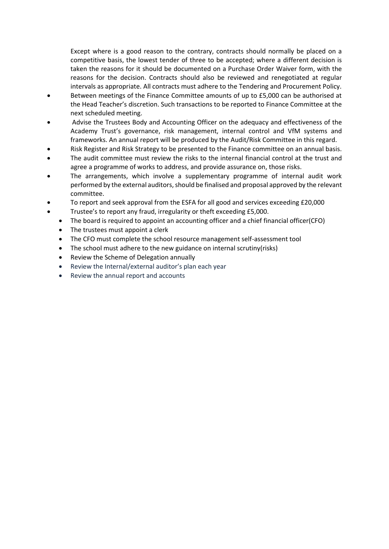Except where is a good reason to the contrary, contracts should normally be placed on a competitive basis, the lowest tender of three to be accepted; where a different decision is taken the reasons for it should be documented on a Purchase Order Waiver form, with the reasons for the decision. Contracts should also be reviewed and renegotiated at regular intervals as appropriate. All contracts must adhere to the Tendering and Procurement Policy.

- Between meetings of the Finance Committee amounts of up to £5,000 can be authorised at the Head Teacher's discretion. Such transactions to be reported to Finance Committee at the next scheduled meeting.
- Advise the Trustees Body and Accounting Officer on the adequacy and effectiveness of the Academy Trust's governance, risk management, internal control and VfM systems and frameworks. An annual report will be produced by the Audit/Risk Committee in this regard.
- Risk Register and Risk Strategy to be presented to the Finance committee on an annual basis.
- The audit committee must review the risks to the internal financial control at the trust and agree a programme of works to address, and provide assurance on, those risks.
- The arrangements, which involve a supplementary programme of internal audit work performed by the external auditors, should be finalised and proposal approved by the relevant committee.
- To report and seek approval from the ESFA for all good and services exceeding £20,000
- Trustee's to report any fraud, irregularity or theft exceeding £5,000.
	- The board is required to appoint an accounting officer and a chief financial officer(CFO)
	- The trustees must appoint a clerk
	- The CFO must complete the school resource management self-assessment tool
	- The school must adhere to the new guidance on internal scrutiny(risks)
	- Review the Scheme of Delegation annually
	- Review the Internal/external auditor's plan each year
	- Review the annual report and accounts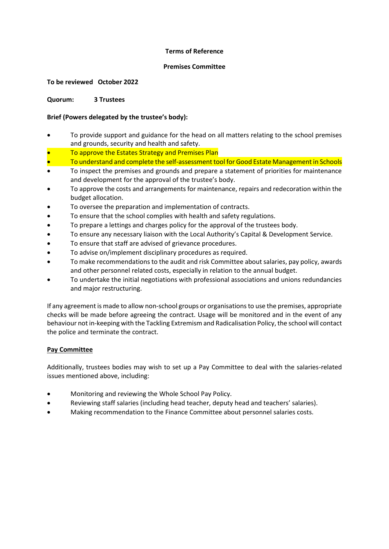#### **Terms of Reference**

#### **Premises Committee**

#### **To be reviewed October 2022**

#### **Quorum: 3 Trustees**

## **Brief (Powers delegated by the trustee's body):**

- To provide support and guidance for the head on all matters relating to the school premises and grounds, security and health and safety.
- To approve the Estates Strategy and Premises Plan
- To understand and complete the self-assessment tool for Good Estate Management in Schools
- To inspect the premises and grounds and prepare a statement of priorities for maintenance and development for the approval of the trustee's body.
- To approve the costs and arrangements for maintenance, repairs and redecoration within the budget allocation.
- To oversee the preparation and implementation of contracts.
- To ensure that the school complies with health and safety regulations.
- To prepare a lettings and charges policy for the approval of the trustees body.
- To ensure any necessary liaison with the Local Authority's Capital & Development Service.
- To ensure that staff are advised of grievance procedures.
- To advise on/implement disciplinary procedures as required.
- To make recommendations to the audit and risk Committee about salaries, pay policy, awards and other personnel related costs, especially in relation to the annual budget.
- To undertake the initial negotiations with professional associations and unions redundancies and major restructuring.

If any agreement is made to allow non-school groups or organisations to use the premises, appropriate checks will be made before agreeing the contract. Usage will be monitored and in the event of any behaviour not in-keeping with the Tackling Extremism and Radicalisation Policy, the school will contact the police and terminate the contract.

#### **Pay Committee**

Additionally, trustees bodies may wish to set up a Pay Committee to deal with the salaries-related issues mentioned above, including:

- Monitoring and reviewing the Whole School Pay Policy.
- Reviewing staff salaries (including head teacher, deputy head and teachers' salaries).
- Making recommendation to the Finance Committee about personnel salaries costs.